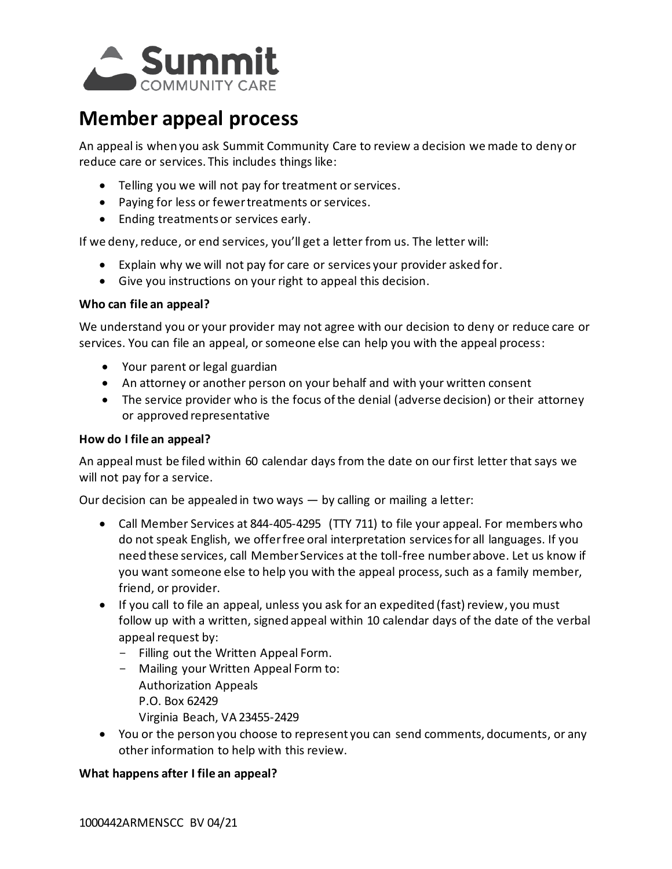

# **Member appeal process**

An appeal is when you ask Summit Community Care to review a decision we made to deny or reduce care or services. This includes things like:

- Telling you we will not pay for treatment or services.
- Paying for less or fewer treatments or services.
- Ending treatments or services early.

If we deny, reduce, or end services, you'll get a letter from us. The letter will:

- Explain why we will not pay for care or services your provider asked for.
- Give you instructions on your right to appeal this decision.

## **Who can file an appeal?**

We understand you or your provider may not agree with our decision to deny or reduce care or services. You can file an appeal, or someone else can help you with the appeal process:

- Your parent or legal guardian
- An attorney or another person on your behalf and with your written consent
- The service provider who is the focus of the denial (adverse decision) or their attorney or approved representative

### **How do I file an appeal?**

An appeal must be filed within 60 calendar days from the date on our first letter that says we will not pay for a service.

Our decision can be appealed in two ways — by calling or mailing a letter:

- Call Member Services at 844-405-4295 (TTY 711) to file your appeal. For members who do not speak English, we offer free oral interpretation services for all languages. If you need these services, call Member Services at the toll-free number above. Let us know if you want someone else to help you with the appeal process, such as a family member, friend, or provider.
- If you call to file an appeal, unless you ask for an expedited (fast) review, you must follow up with a written, signed appeal within 10 calendar days of the date of the verbal appeal request by:
	- Filling out the Written Appeal Form.
	- Mailing your Written Appeal Form to: Authorization Appeals P.O. Box 62429
		- Virginia Beach, VA 23455-2429
- You or the person you choose to represent you can send comments, documents, or any other information to help with this review.

## **What happens after I file an appeal?**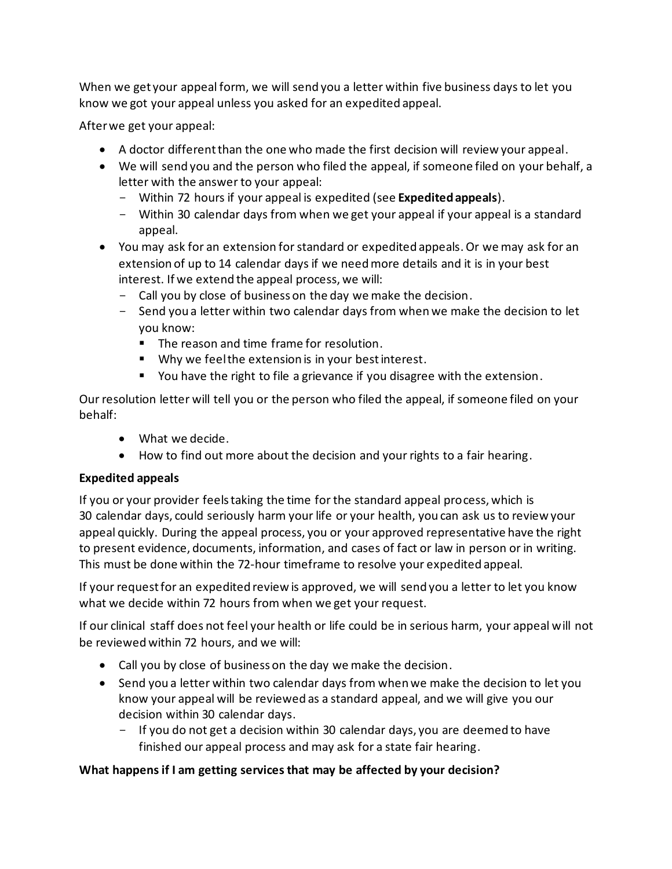When we get your appeal form, we will send you a letter within five business days to let you know we got your appeal unless you asked for an expedited appeal.

After we get your appeal:

- A doctor different than the one who made the first decision will review your appeal.
- We will send you and the person who filed the appeal, if someone filed on your behalf, a letter with the answer to your appeal:
	- Within 72 hours if your appeal is expedited (see **Expedited appeals**).
	- Within 30 calendar days from when we get your appeal if your appeal is a standard appeal.
- You may ask for an extension for standard or expedited appeals. Or we may ask for an extension of up to 14 calendar days if we need more details and it is in your best interest. If we extend the appeal process, we will:
	- Call you by close of business on the day we make the decision.
	- Send you a letter within two calendar days from when we make the decision to let you know:
		- The reason and time frame for resolution.
		- Why we feel the extension is in your best interest.
		- You have the right to file a grievance if you disagree with the extension.

Our resolution letter will tell you or the person who filed the appeal, if someone filed on your behalf:

- What we decide.
- How to find out more about the decision and your rights to a fair hearing.

## **Expedited appeals**

If you or your provider feels taking the time for the standard appeal process, which is 30 calendar days, could seriously harm your life or your health, you can ask us to review your appeal quickly. During the appeal process, you or your approved representative have the right to present evidence, documents, information, and cases of fact or law in person or in writing. This must be done within the 72-hour timeframe to resolve your expedited appeal.

If your request for an expedited review is approved, we will send you a letter to let you know what we decide within 72 hours from when we get your request.

If our clinical staff does not feel your health or life could be in serious harm, your appeal will not be reviewed within 72 hours, and we will:

- Call you by close of business on the day we make the decision.
- Send you a letter within two calendar days from when we make the decision to let you know your appeal will be reviewed as a standard appeal, and we will give you our decision within 30 calendar days.
	- If you do not get a decision within 30 calendar days, you are deemed to have finished our appeal process and may ask for a state fair hearing.

# **What happens if I am getting services that may be affected by your decision?**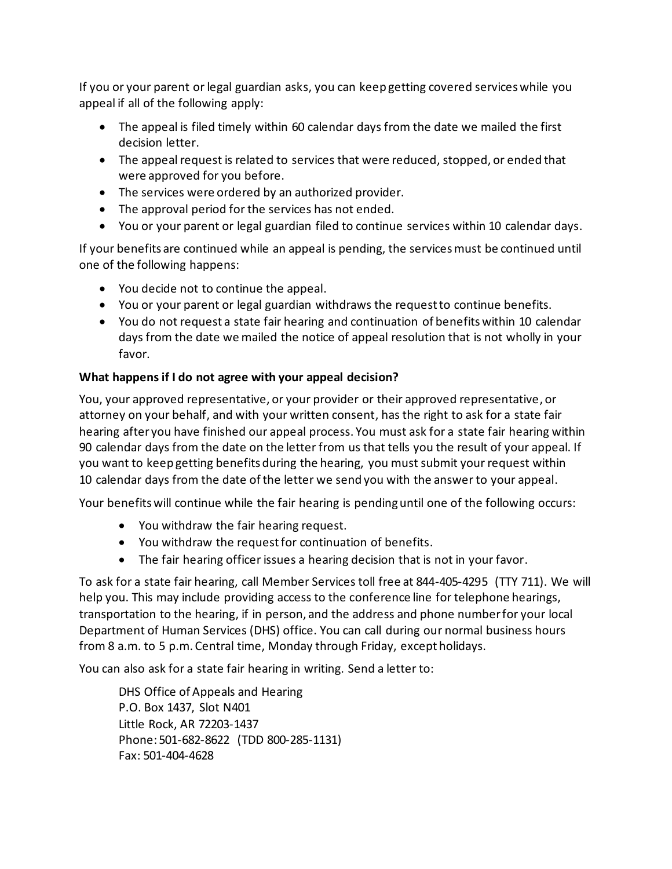If you or your parent or legal guardian asks, you can keep getting covered services while you appeal if all of the following apply:

- The appeal is filed timely within 60 calendar days from the date we mailed the first decision letter.
- The appeal request is related to services that were reduced, stopped, or ended that were approved for you before.
- The services were ordered by an authorized provider.
- The approval period for the services has not ended.
- You or your parent or legal guardian filed to continue services within 10 calendar days.

If your benefits are continued while an appeal is pending, the services must be continued until one of the following happens:

- You decide not to continue the appeal.
- You or your parent or legal guardian withdraws the request to continue benefits.
- You do not request a state fair hearing and continuation of benefits within 10 calendar days from the date we mailed the notice of appeal resolution that is not wholly in your favor.

# **What happens if I do not agree with your appeal decision?**

You, your approved representative, or your provider or their approved representative, or attorney on your behalf, and with your written consent, has the right to ask for a state fair hearing after you have finished our appeal process. You must ask for a state fair hearing within 90 calendar days from the date on the letter from us that tells you the result of your appeal. If you want to keep getting benefits during the hearing, you must submit your request within 10 calendar days from the date of the letter we send you with the answer to your appeal.

Your benefits will continue while the fair hearing is pending until one of the following occurs:

- You withdraw the fair hearing request.
- You withdraw the request for continuation of benefits.
- The fair hearing officer issues a hearing decision that is not in your favor.

To ask for a state fair hearing, call Member Services toll free at 844-405-4295 (TTY 711). We will help you. This may include providing access to the conference line for telephone hearings, transportation to the hearing, if in person, and the address and phone number for your local Department of Human Services (DHS) office. You can call during our normal business hours from 8 a.m. to 5 p.m. Central time, Monday through Friday, except holidays.

You can also ask for a state fair hearing in writing. Send a letter to:

DHS Office of Appeals and Hearing P.O. Box 1437, Slot N401 Little Rock, AR 72203-1437 Phone: 501-682-8622 (TDD 800-285-1131) Fax: 501-404-4628